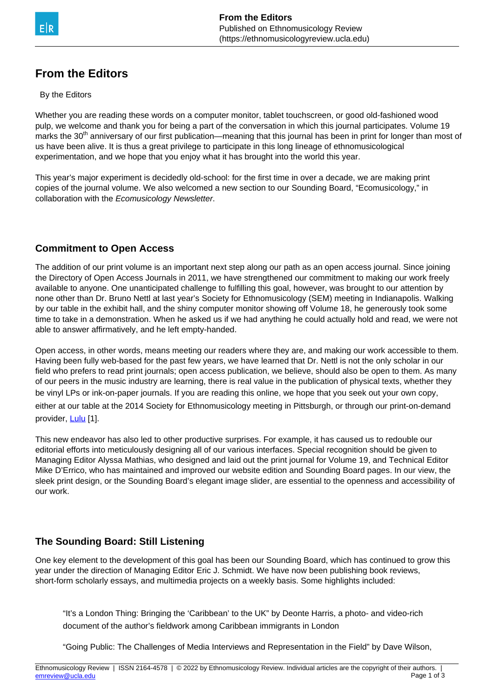

# **From the Editors**

#### By the Editors

Whether you are reading these words on a computer monitor, tablet touchscreen, or good old-fashioned wood pulp, we welcome and thank you for being a part of the conversation in which this journal participates. Volume 19 marks the 30<sup>th</sup> anniversary of our first publication—meaning that this journal has been in print for longer than most of us have been alive. It is thus a great privilege to participate in this long lineage of ethnomusicological experimentation, and we hope that you enjoy what it has brought into the world this year.

This year's major experiment is decidedly old-school: for the first time in over a decade, we are making print copies of the journal volume. We also welcomed a new section to our Sounding Board, "Ecomusicology," in collaboration with the Ecomusicology Newsletter.

### **Commitment to Open Access**

The addition of our print volume is an important next step along our path as an open access journal. Since joining the Directory of Open Access Journals in 2011, we have strengthened our commitment to making our work freely available to anyone. One unanticipated challenge to fulfilling this goal, however, was brought to our attention by none other than Dr. Bruno Nettl at last year's Society for Ethnomusicology (SEM) meeting in Indianapolis. Walking by our table in the exhibit hall, and the shiny computer monitor showing off Volume 18, he generously took some time to take in a demonstration. When he asked us if we had anything he could actually hold and read, we were not able to answer affirmatively, and he left empty-handed.

Open access, in other words, means meeting our readers where they are, and making our work accessible to them. Having been fully web-based for the past few years, we have learned that Dr. Nettl is not the only scholar in our field who prefers to read print journals; open access publication, we believe, should also be open to them. As many of our peers in the music industry are learning, there is real value in the publication of physical texts, whether they be vinyl LPs or ink-on-paper journals. If you are reading this online, we hope that you seek out your own copy, either at our table at the 2014 Society for Ethnomusicology meeting in Pittsburgh, or through our print-on-demand provider, [Lulu](http://www.lulu.com) [1].

This new endeavor has also led to other productive surprises. For example, it has caused us to redouble our editorial efforts into meticulously designing all of our various interfaces. Special recognition should be given to Managing Editor Alyssa Mathias, who designed and laid out the print journal for Volume 19, and Technical Editor Mike D'Errico, who has maintained and improved our website edition and Sounding Board pages. In our view, the sleek print design, or the Sounding Board's elegant image slider, are essential to the openness and accessibility of our work.

## **The Sounding Board: Still Listening**

One key element to the development of this goal has been our Sounding Board, which has continued to grow this year under the direction of Managing Editor Eric J. Schmidt. We have now been publishing book reviews, short-form scholarly essays, and multimedia projects on a weekly basis. Some highlights included:

"It's a London Thing: Bringing the 'Caribbean' to the UK" by Deonte Harris, a photo- and video-rich document of the author's fieldwork among Caribbean immigrants in London

"Going Public: The Challenges of Media Interviews and Representation in the Field" by Dave Wilson,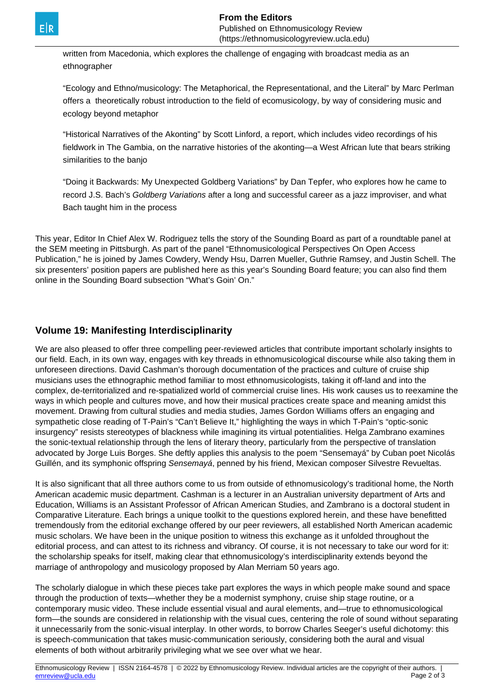written from Macedonia, which explores the challenge of engaging with broadcast media as an ethnographer

"Ecology and Ethno/musicology: The Metaphorical, the Representational, and the Literal" by Marc Perlman offers a theoretically robust introduction to the field of ecomusicology, by way of considering music and ecology beyond metaphor

"Historical Narratives of the Akonting" by Scott Linford, a report, which includes video recordings of his fieldwork in The Gambia, on the narrative histories of the akonting—a West African lute that bears striking similarities to the banjo

"Doing it Backwards: My Unexpected Goldberg Variations" by Dan Tepfer, who explores how he came to record J.S. Bach's Goldberg Variations after a long and successful career as a jazz improviser, and what Bach taught him in the process

This year, Editor In Chief Alex W. Rodriguez tells the story of the Sounding Board as part of a roundtable panel at the SEM meeting in Pittsburgh. As part of the panel "Ethnomusicological Perspectives On Open Access Publication," he is joined by James Cowdery, Wendy Hsu, Darren Mueller, Guthrie Ramsey, and Justin Schell. The six presenters' position papers are published here as this year's Sounding Board feature; you can also find them online in the Sounding Board subsection "What's Goin' On."

# **Volume 19: Manifesting Interdisciplinarity**

We are also pleased to offer three compelling peer-reviewed articles that contribute important scholarly insights to our field. Each, in its own way, engages with key threads in ethnomusicological discourse while also taking them in unforeseen directions. David Cashman's thorough documentation of the practices and culture of cruise ship musicians uses the ethnographic method familiar to most ethnomusicologists, taking it off-land and into the complex, de-territorialized and re-spatialized world of commercial cruise lines. His work causes us to reexamine the ways in which people and cultures move, and how their musical practices create space and meaning amidst this movement. Drawing from cultural studies and media studies, James Gordon Williams offers an engaging and sympathetic close reading of T-Pain's "Can't Believe It," highlighting the ways in which T-Pain's "optic-sonic insurgency" resists stereotypes of blackness while imagining its virtual potentialities. Helga Zambrano examines the sonic-textual relationship through the lens of literary theory, particularly from the perspective of translation advocated by Jorge Luis Borges. She deftly applies this analysis to the poem "Sensemayá" by Cuban poet Nicolás Guillén, and its symphonic offspring Sensemayá, penned by his friend, Mexican composer Silvestre Revueltas.

It is also significant that all three authors come to us from outside of ethnomusicology's traditional home, the North American academic music department. Cashman is a lecturer in an Australian university department of Arts and Education, Williams is an Assistant Professor of African American Studies, and Zambrano is a doctoral student in Comparative Literature. Each brings a unique toolkit to the questions explored herein, and these have benefitted tremendously from the editorial exchange offered by our peer reviewers, all established North American academic music scholars. We have been in the unique position to witness this exchange as it unfolded throughout the editorial process, and can attest to its richness and vibrancy. Of course, it is not necessary to take our word for it: the scholarship speaks for itself, making clear that ethnomusicology's interdisciplinarity extends beyond the marriage of anthropology and musicology proposed by Alan Merriam 50 years ago.

The scholarly dialogue in which these pieces take part explores the ways in which people make sound and space through the production of texts—whether they be a modernist symphony, cruise ship stage routine, or a contemporary music video. These include essential visual and aural elements, and—true to ethnomusicological form—the sounds are considered in relationship with the visual cues, centering the role of sound without separating it unnecessarily from the sonic-visual interplay. In other words, to borrow Charles Seeger's useful dichotomy: this is speech-communication that takes music-communication seriously, considering both the aural and visual elements of both without arbitrarily privileging what we see over what we hear.